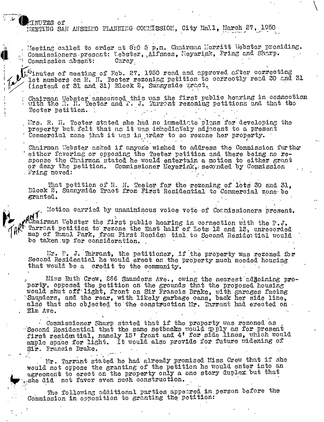TNUTES of MEETING SAN ANSELMO PLANNING COMMISSION, City Hall, March 27, 1950

Meeting called to order at 8:0 5 p.m. Chairman Morritt Webstor presiding.<br>Commissioners prescnt: Webster, Alfsnes, Neyerink, Pring and Sharp. Carey Commission absent:

 $[\tilde{\psi}^{\tilde{\psi}}]$ inutes of meeting of Fob. 27, 1950 read and approved after correcting lot numbers on R. H. Tecter rezoning petition to correctly read 30 and 31 (instead of 31 and 31) Block 2, Sunnyside Tract.

Chairman Webster announced this was the first public hearing in connection with the R. H. Teeter and F. J. Tarrent rezoning petitions and that the Teeter petition.

Ims. R. H. Teeter stated she had no immedicte plans for developing the property but felt that as it was immediately adjacent to a present Commercial zone that it was in prder to so rezone her property.

Chairman Webster asked if anyone wished to address the Commission furthe either fevoring or opposing the Teeter petition and there being no response the Chairman stated he would entertain a motion to either grant or deny the petition. Commissioner Meyerink, seconded by Commission Pring moved:

That petition of R. H. Teeter for the rezoning of lots 30 and 31, Dlock 2, Sunnyside Tract from First Residential to Commercial zone be granted.

Motion carried by unaniminous voice vote of Counissioners present. Chairman Webster the first public hearing in cornection with the P.J.<br>Tarrant petition to rezone the East half of Lots 12 and 13, unrecorded map of Tamal Park, from First Residen tial to Second Residential would be taken up for consideration.

Mr. P. J. Tarrant, the petitioner, if the property was rezoned for Second Residential he would erect on the property much needed housing that would be a credit to the community.

Miss Ruth Crew, 266 Saunders Ave., owing the nearest adjoining property, opposed the petition on the grounds that the proposed housing would shut off light, front on Sir Francis Drake, with garages facing<br>Saunders, and the rear, with likely garbage cans, back her side line, also that she objected to the construction Mr. Tarrant had erected on Elm Ave.

Commissioner Sharp stated that if the property was rezoned as Second Residential that the same setbacks would pply as for present first residential, namely 15' front and 4' for side lines, which would ample space for light. It would also provide for future widening of Sir. Francis Drake.

Mr. Tarrant stated he had already promised Miss Crew that if she would not oppose the granting of the petition he would enter into an agreement to erect on the property only a one story duplex but that she did mot favor even such construction.

The following additional parties appeared in person before the Commission in opposition to granting the petition: